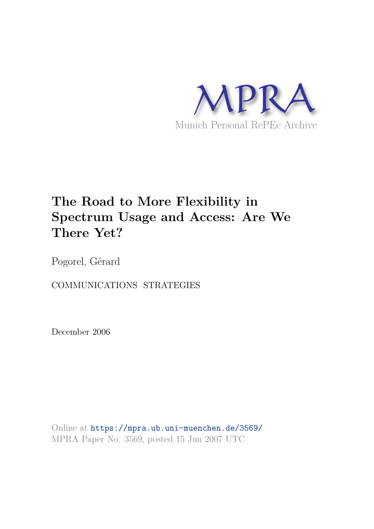

## **The Road to More Flexibility in Spectrum Usage and Access: Are We There Yet?**

Pogorel, Gérard

COMMUNICATIONS STRATEGIES

December 2006

Online at https://mpra.ub.uni-muenchen.de/3569/ MPRA Paper No. 3569, posted 15 Jun 2007 UTC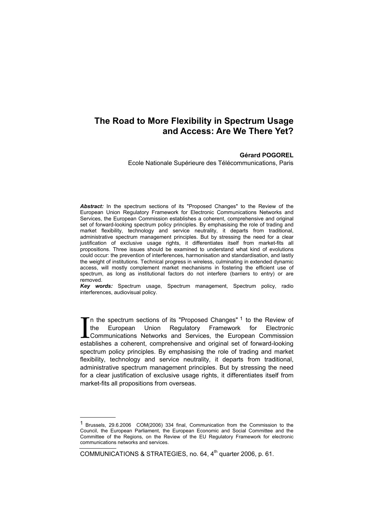## **The Road to More Flexibility in Spectrum Usage and Access: Are We There Yet?**

## **Gérard POGOREL**

Ecole Nationale Supérieure des Télécommunications, Paris

*Abstract:* In the spectrum sections of its "Proposed Changes" to the Review of the European Union Regulatory Framework for Electronic Communications Networks and Services, the European Commission establishes a coherent, comprehensive and original set of forward-looking spectrum policy principles. By emphasising the role of trading and market flexibility, technology and service neutrality, it departs from traditional, administrative spectrum management principles. But by stressing the need for a clear justification of exclusive usage rights, it differentiates itself from market-fits all propositions. Three issues should be examined to understand what kind of evolutions could occur: the prevention of interferences, harmonisation and standardisation, and lastly the weight of institutions. Technical progress in wireless, culminating in extended dynamic access, will mostly complement market mechanisms in fostering the efficient use of spectrum, as long as institutional factors do not interfere (barriers to entry) or are removed.

*Key words:* Spectrum usage, Spectrum management, Spectrum policy, radio interferences, audiovisual policy.

In the spectrum sections of its "Proposed Changes" <sup>1</sup> to the Review of the European Union Regulatory Framework for Electronic Communications Networks and Services, the European Commission establishes a coherent, comprehensive and original set of forward-looking spectrum policy principles. By emphasising the role of trading and market flexibility, technology and service neutrality, it departs from traditional, administrative spectrum management principles. But by stressing the need for a clear justification of exclusive usage rights, it differentiates itself from market-fits all propositions from overseas. I

COMMUNICATIONS & STRATEGIES, no. 64, 4<sup>th</sup> quarter 2006, p. 61.

-

<sup>1</sup> Brussels, 29.6.2006 COM(2006) 334 final, Communication from the Commission to the Council, the European Parliament, the European Economic and Social Committee and the Committee of the Regions, on the Review of the EU Regulatory Framework for electronic communications networks and services.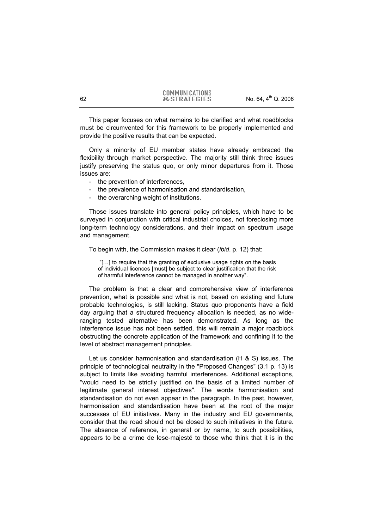This paper focuses on what remains to be clarified and what roadblocks must be circumvented for this framework to be properly implemented and provide the positive results that can be expected.

Only a minority of EU member states have already embraced the flexibility through market perspective. The majority still think three issues justify preserving the status quo, or only minor departures from it. Those issues are:

- the prevention of interferences,
- the prevalence of harmonisation and standardisation,
- the overarching weight of institutions.

Those issues translate into general policy principles, which have to be surveyed in conjunction with critical industrial choices, not foreclosing more long-term technology considerations, and their impact on spectrum usage and management.

To begin with, the Commission makes it clear (*ibid*. p. 12) that:

 "[…] to require that the granting of exclusive usage rights on the basis of individual licences [must] be subject to clear justification that the risk of harmful interference cannot be managed in another way".

The problem is that a clear and comprehensive view of interference prevention, what is possible and what is not, based on existing and future probable technologies, is still lacking. Status quo proponents have a field day arguing that a structured frequency allocation is needed, as no wideranging tested alternative has been demonstrated. As long as the interference issue has not been settled, this will remain a major roadblock obstructing the concrete application of the framework and confining it to the level of abstract management principles.

Let us consider harmonisation and standardisation (H & S) issues. The principle of technological neutrality in the "Proposed Changes" (3.1 p. 13) is subject to limits like avoiding harmful interferences. Additional exceptions, "would need to be strictly justified on the basis of a limited number of legitimate general interest objectives". The words harmonisation and standardisation do not even appear in the paragraph. In the past, however, harmonisation and standardisation have been at the root of the major successes of EU initiatives. Many in the industry and EU governments, consider that the road should not be closed to such initiatives in the future. The absence of reference, in general or by name, to such possibilities, appears to be a crime de lese-majesté to those who think that it is in the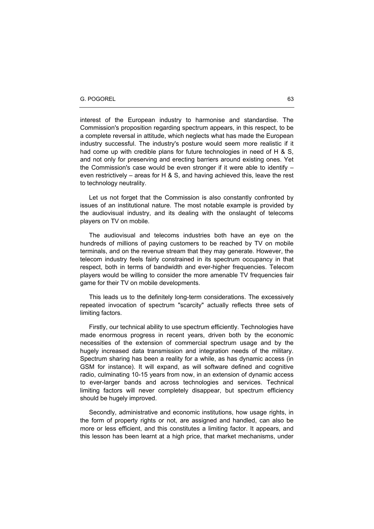interest of the European industry to harmonise and standardise. The Commission's proposition regarding spectrum appears, in this respect, to be a complete reversal in attitude, which neglects what has made the European industry successful. The industry's posture would seem more realistic if it had come up with credible plans for future technologies in need of H & S, and not only for preserving and erecting barriers around existing ones. Yet the Commission's case would be even stronger if it were able to identify – even restrictively – areas for H & S, and having achieved this, leave the rest to technology neutrality.

Let us not forget that the Commission is also constantly confronted by issues of an institutional nature. The most notable example is provided by the audiovisual industry, and its dealing with the onslaught of telecoms players on TV on mobile.

The audiovisual and telecoms industries both have an eye on the hundreds of millions of paying customers to be reached by TV on mobile terminals, and on the revenue stream that they may generate. However, the telecom industry feels fairly constrained in its spectrum occupancy in that respect, both in terms of bandwidth and ever-higher frequencies. Telecom players would be willing to consider the more amenable TV frequencies fair game for their TV on mobile developments.

This leads us to the definitely long-term considerations. The excessively repeated invocation of spectrum "scarcity" actually reflects three sets of limiting factors.

Firstly, our technical ability to use spectrum efficiently. Technologies have made enormous progress in recent years, driven both by the economic necessities of the extension of commercial spectrum usage and by the hugely increased data transmission and integration needs of the military. Spectrum sharing has been a reality for a while, as has dynamic access (in GSM for instance). It will expand, as will software defined and cognitive radio, culminating 10-15 years from now, in an extension of dynamic access to ever-larger bands and across technologies and services. Technical limiting factors will never completely disappear, but spectrum efficiency should be hugely improved.

Secondly, administrative and economic institutions, how usage rights, in the form of property rights or not, are assigned and handled, can also be more or less efficient, and this constitutes a limiting factor. It appears, and this lesson has been learnt at a high price, that market mechanisms, under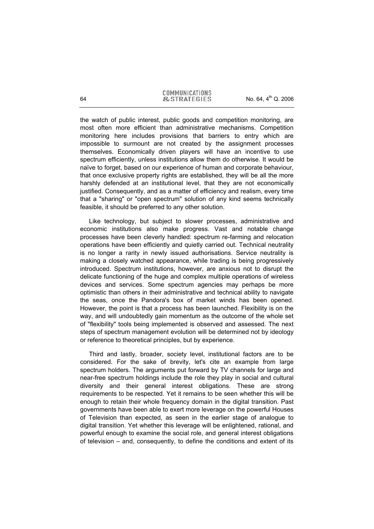the watch of public interest, public goods and competition monitoring, are most often more efficient than administrative mechanisms. Competition monitoring here includes provisions that barriers to entry which are impossible to surmount are not created by the assignment processes themselves. Economically driven players will have an incentive to use spectrum efficiently, unless institutions allow them do otherwise. It would be naïve to forget, based on our experience of human and corporate behaviour, that once exclusive property rights are established, they will be all the more harshly defended at an institutional level, that they are not economically justified. Consequently, and as a matter of efficiency and realism, every time that a "sharing" or "open spectrum" solution of any kind seems technically feasible, it should be preferred to any other solution.

Like technology, but subject to slower processes, administrative and economic institutions also make progress. Vast and notable change processes have been cleverly handled: spectrum re-farming and relocation operations have been efficiently and quietly carried out. Technical neutrality is no longer a rarity in newly issued authorisations. Service neutrality is making a closely watched appearance, while trading is being progressively introduced. Spectrum institutions, however, are anxious not to disrupt the delicate functioning of the huge and complex multiple operations of wireless devices and services. Some spectrum agencies may perhaps be more optimistic than others in their administrative and technical ability to navigate the seas, once the Pandora's box of market winds has been opened. However, the point is that a process has been launched. Flexibility is on the way, and will undoubtedly gain momentum as the outcome of the whole set of "flexibility" tools being implemented is observed and assessed. The next steps of spectrum management evolution will be determined not by ideology or reference to theoretical principles, but by experience.

Third and lastly, broader, society level, institutional factors are to be considered. For the sake of brevity, let's cite an example from large spectrum holders. The arguments put forward by TV channels for large and near-free spectrum holdings include the role they play in social and cultural diversity and their general interest obligations. These are strong requirements to be respected. Yet it remains to be seen whether this will be enough to retain their whole frequency domain in the digital transition. Past governments have been able to exert more leverage on the powerful Houses of Television than expected, as seen in the earlier stage of analogue to digital transition. Yet whether this leverage will be enlightened, rational, and powerful enough to examine the social role, and general interest obligations of television – and, consequently, to define the conditions and extent of its